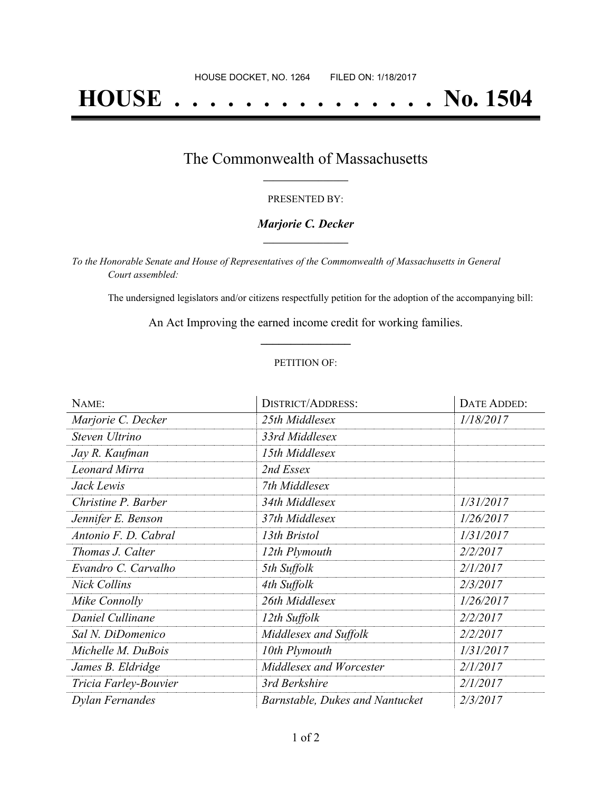# **HOUSE . . . . . . . . . . . . . . . No. 1504**

### The Commonwealth of Massachusetts **\_\_\_\_\_\_\_\_\_\_\_\_\_\_\_\_\_**

#### PRESENTED BY:

#### *Marjorie C. Decker* **\_\_\_\_\_\_\_\_\_\_\_\_\_\_\_\_\_**

*To the Honorable Senate and House of Representatives of the Commonwealth of Massachusetts in General Court assembled:*

The undersigned legislators and/or citizens respectfully petition for the adoption of the accompanying bill:

An Act Improving the earned income credit for working families. **\_\_\_\_\_\_\_\_\_\_\_\_\_\_\_**

#### PETITION OF:

| NAME:                 | <b>DISTRICT/ADDRESS:</b>        | DATE ADDED: |
|-----------------------|---------------------------------|-------------|
| Marjorie C. Decker    | 25th Middlesex                  | 1/18/2017   |
| Steven Ultrino        | 33rd Middlesex                  |             |
| Jay R. Kaufman        | 15th Middlesex                  |             |
| <b>Leonard Mirra</b>  | 2nd Essex                       |             |
| Jack Lewis            | 7th Middlesex                   |             |
| Christine P. Barber   | 34th Middlesex                  | 1/31/2017   |
| Jennifer E. Benson    | 37th Middlesex                  | 1/26/2017   |
| Antonio F. D. Cabral  | 13th Bristol                    | 1/31/2017   |
| Thomas J. Calter      | 12th Plymouth                   | 2/2/2017    |
| Evandro C. Carvalho   | 5th Suffolk                     | 2/1/2017    |
| <b>Nick Collins</b>   | 4th Suffolk                     | 2/3/2017    |
| Mike Connolly         | 26th Middlesex                  | 1/26/2017   |
| Daniel Cullinane      | 12th Suffolk                    | 2/2/2017    |
| Sal N. DiDomenico     | Middlesex and Suffolk           | 2/2/2017    |
| Michelle M. DuBois    | 10th Plymouth                   | 1/31/2017   |
| James B. Eldridge     | Middlesex and Worcester         | 2/1/2017    |
| Tricia Farley-Bouvier | 3rd Berkshire                   | 2/1/2017    |
| Dylan Fernandes       | Barnstable, Dukes and Nantucket | 2/3/2017    |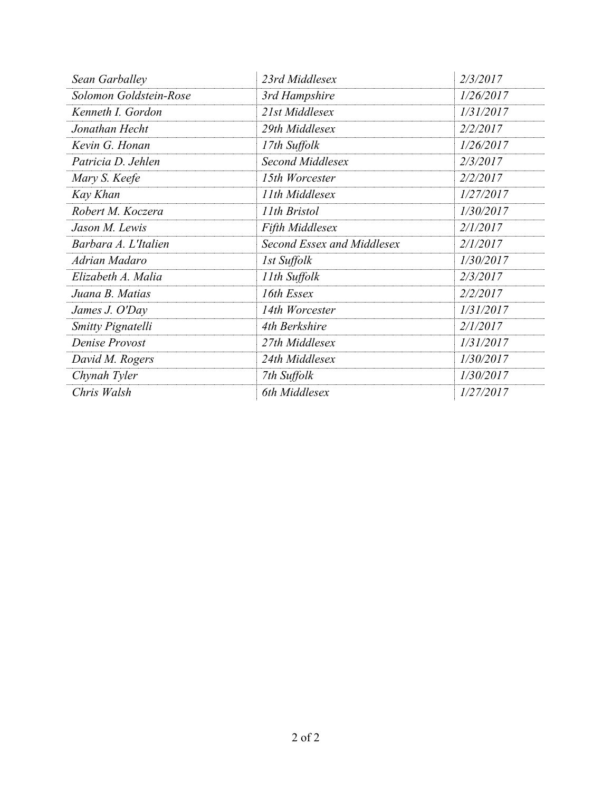| Sean Garballey         | 23rd Middlesex             | 2/3/2017  |
|------------------------|----------------------------|-----------|
| Solomon Goldstein-Rose | 3rd Hampshire              | 1/26/2017 |
| Kenneth I. Gordon      | 21st Middlesex             | 1/31/2017 |
| Jonathan Hecht         | 29th Middlesex             | 2/2/2017  |
| Kevin G. Honan         | 17th Suffolk               | 1/26/2017 |
| Patricia D. Jehlen     | Second Middlesex           | 2/3/2017  |
| Mary S. Keefe          | 15th Worcester             | 2/2/2017  |
| Kay Khan               | 11th Middlesex             | 1/27/2017 |
| Robert M. Koczera      | 11th Bristol               | 1/30/2017 |
| Jason M. Lewis         | Fifth Middlesex            | 2/1/2017  |
| Barbara A. L'Italien   | Second Essex and Middlesex | 2/1/2017  |
| Adrian Madaro          | 1st Suffolk                | 1/30/2017 |
| Elizabeth A. Malia     | 11th Suffolk               | 2/3/2017  |
| Juana B. Matias        | 16th Essex                 | 2/2/2017  |
| James J. O'Day         | 14th Worcester             | 1/31/2017 |
| Smitty Pignatelli      | 4th Berkshire              | 2/1/2017  |
| Denise Provost         | 27th Middlesex             | 1/31/2017 |
| David M. Rogers        | 24th Middlesex             | 1/30/2017 |
| Chynah Tyler           | 7th Suffolk                | 1/30/2017 |
| Chris Walsh            | 6th Middlesex              | 1/27/2017 |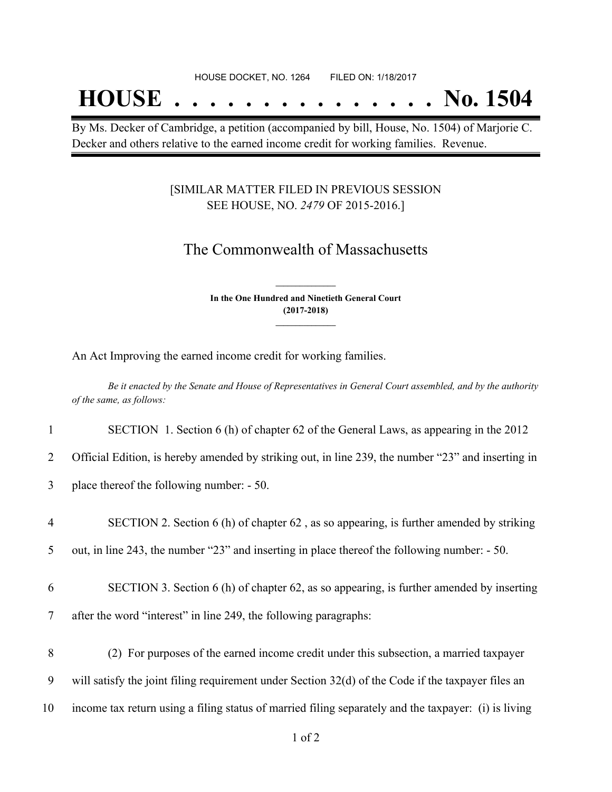## **HOUSE . . . . . . . . . . . . . . . No. 1504**

By Ms. Decker of Cambridge, a petition (accompanied by bill, House, No. 1504) of Marjorie C. Decker and others relative to the earned income credit for working families. Revenue.

#### [SIMILAR MATTER FILED IN PREVIOUS SESSION SEE HOUSE, NO. *2479* OF 2015-2016.]

## The Commonwealth of Massachusetts

**In the One Hundred and Ninetieth General Court (2017-2018) \_\_\_\_\_\_\_\_\_\_\_\_\_\_\_**

**\_\_\_\_\_\_\_\_\_\_\_\_\_\_\_**

An Act Improving the earned income credit for working families.

Be it enacted by the Senate and House of Representatives in General Court assembled, and by the authority *of the same, as follows:*

1 SECTION 1. Section 6 (h) of chapter 62 of the General Laws, as appearing in the 2012

2 Official Edition, is hereby amended by striking out, in line 239, the number "23" and inserting in

3 place thereof the following number: - 50.

4 SECTION 2. Section 6 (h) of chapter 62 , as so appearing, is further amended by striking

5 out, in line 243, the number "23" and inserting in place thereof the following number: - 50.

6 SECTION 3. Section 6 (h) of chapter 62, as so appearing, is further amended by inserting 7 after the word "interest" in line 249, the following paragraphs:

- 8 (2) For purposes of the earned income credit under this subsection, a married taxpayer 9 will satisfy the joint filing requirement under Section 32(d) of the Code if the taxpayer files an
- 10 income tax return using a filing status of married filing separately and the taxpayer: (i) is living